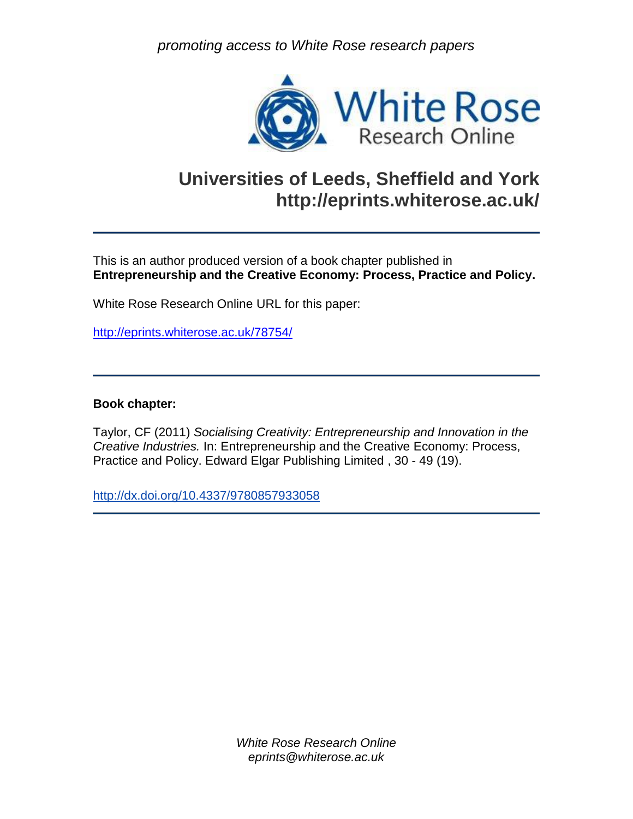*promoting access to White Rose research papers*



# **Universities of Leeds, Sheffield and York http://eprints.whiterose.ac.uk/**

This is an author produced version of a book chapter published in **Entrepreneurship and the Creative Economy: Process, Practice and Policy.**

White Rose Research Online URL for this paper:

<http://eprints.whiterose.ac.uk/78754/>

## **Book chapter:**

Taylor, CF (2011) *Socialising Creativity: Entrepreneurship and Innovation in the Creative Industries.* In: Entrepreneurship and the Creative Economy: Process, Practice and Policy. Edward Elgar Publishing Limited , 30 - 49 (19).

<http://dx.doi.org/10.4337/9780857933058>

*White Rose Research Online eprints@whiterose.ac.uk*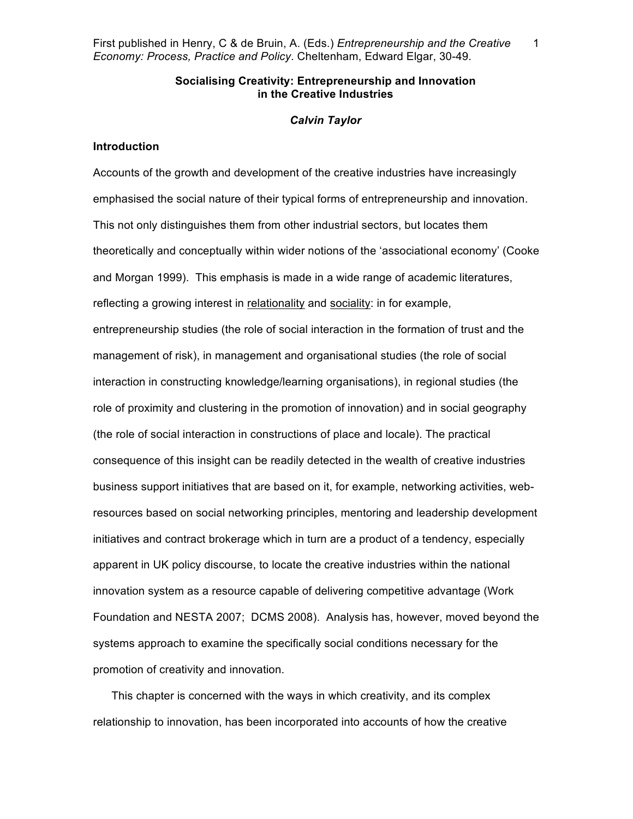### **Socialising Creativity: Entrepreneurship and Innovation in the Creative Industries**

1

### *Calvin Taylor*

### **Introduction**

Accounts of the growth and development of the creative industries have increasingly emphasised the social nature of their typical forms of entrepreneurship and innovation. This not only distinguishes them from other industrial sectors, but locates them theoretically and conceptually within wider notions of the 'associational economy' (Cooke and Morgan 1999). This emphasis is made in a wide range of academic literatures, reflecting a growing interest in relationality and sociality: in for example, entrepreneurship studies (the role of social interaction in the formation of trust and the management of risk), in management and organisational studies (the role of social interaction in constructing knowledge/learning organisations), in regional studies (the role of proximity and clustering in the promotion of innovation) and in social geography (the role of social interaction in constructions of place and locale). The practical consequence of this insight can be readily detected in the wealth of creative industries business support initiatives that are based on it, for example, networking activities, webresources based on social networking principles, mentoring and leadership development initiatives and contract brokerage which in turn are a product of a tendency, especially apparent in UK policy discourse, to locate the creative industries within the national innovation system as a resource capable of delivering competitive advantage (Work Foundation and NESTA 2007; DCMS 2008). Analysis has, however, moved beyond the systems approach to examine the specifically social conditions necessary for the promotion of creativity and innovation.

This chapter is concerned with the ways in which creativity, and its complex relationship to innovation, has been incorporated into accounts of how the creative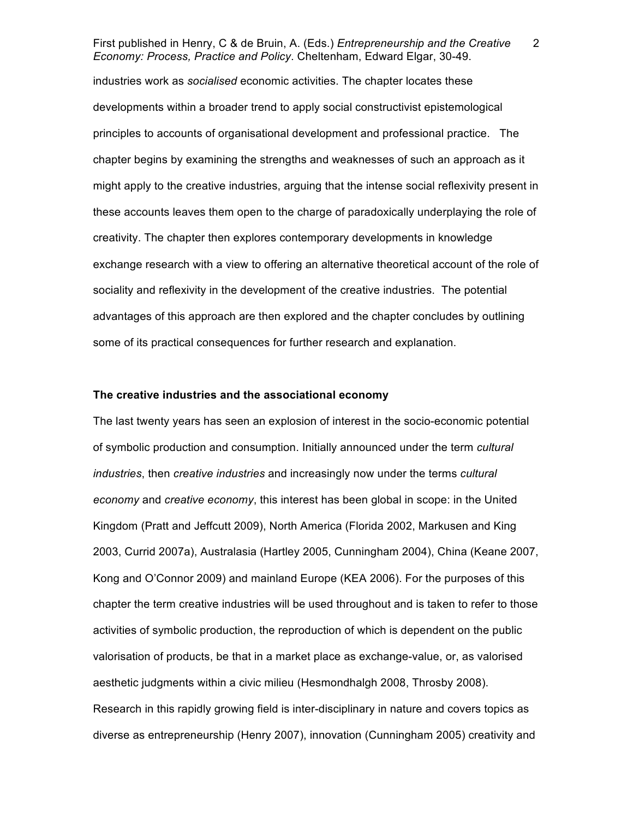industries work as *socialised* economic activities. The chapter locates these developments within a broader trend to apply social constructivist epistemological principles to accounts of organisational development and professional practice. The chapter begins by examining the strengths and weaknesses of such an approach as it might apply to the creative industries, arguing that the intense social reflexivity present in these accounts leaves them open to the charge of paradoxically underplaying the role of creativity. The chapter then explores contemporary developments in knowledge exchange research with a view to offering an alternative theoretical account of the role of sociality and reflexivity in the development of the creative industries. The potential advantages of this approach are then explored and the chapter concludes by outlining some of its practical consequences for further research and explanation.

### **The creative industries and the associational economy**

The last twenty years has seen an explosion of interest in the socio-economic potential of symbolic production and consumption. Initially announced under the term *cultural industries*, then *creative industries* and increasingly now under the terms *cultural economy* and *creative economy*, this interest has been global in scope: in the United Kingdom (Pratt and Jeffcutt 2009), North America (Florida 2002, Markusen and King 2003, Currid 2007a), Australasia (Hartley 2005, Cunningham 2004), China (Keane 2007, Kong and O'Connor 2009) and mainland Europe (KEA 2006). For the purposes of this chapter the term creative industries will be used throughout and is taken to refer to those activities of symbolic production, the reproduction of which is dependent on the public valorisation of products, be that in a market place as exchange-value, or, as valorised aesthetic judgments within a civic milieu (Hesmondhalgh 2008, Throsby 2008). Research in this rapidly growing field is inter-disciplinary in nature and covers topics as diverse as entrepreneurship (Henry 2007), innovation (Cunningham 2005) creativity and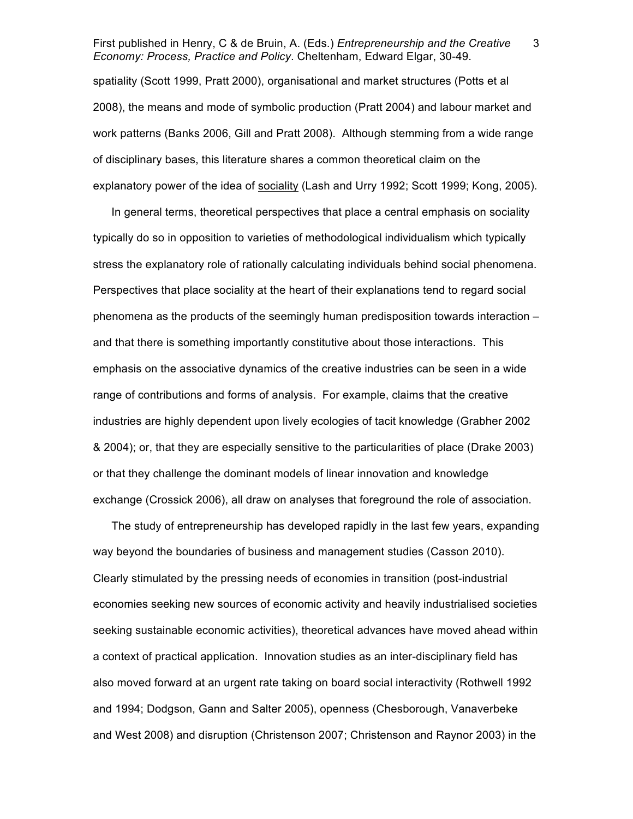spatiality (Scott 1999, Pratt 2000), organisational and market structures (Potts et al 2008), the means and mode of symbolic production (Pratt 2004) and labour market and work patterns (Banks 2006, Gill and Pratt 2008). Although stemming from a wide range of disciplinary bases, this literature shares a common theoretical claim on the explanatory power of the idea of sociality (Lash and Urry 1992; Scott 1999; Kong, 2005).

In general terms, theoretical perspectives that place a central emphasis on sociality typically do so in opposition to varieties of methodological individualism which typically stress the explanatory role of rationally calculating individuals behind social phenomena. Perspectives that place sociality at the heart of their explanations tend to regard social phenomena as the products of the seemingly human predisposition towards interaction – and that there is something importantly constitutive about those interactions. This emphasis on the associative dynamics of the creative industries can be seen in a wide range of contributions and forms of analysis. For example, claims that the creative industries are highly dependent upon lively ecologies of tacit knowledge (Grabher 2002 & 2004); or, that they are especially sensitive to the particularities of place (Drake 2003) or that they challenge the dominant models of linear innovation and knowledge exchange (Crossick 2006), all draw on analyses that foreground the role of association.

The study of entrepreneurship has developed rapidly in the last few years, expanding way beyond the boundaries of business and management studies (Casson 2010). Clearly stimulated by the pressing needs of economies in transition (post-industrial economies seeking new sources of economic activity and heavily industrialised societies seeking sustainable economic activities), theoretical advances have moved ahead within a context of practical application. Innovation studies as an inter-disciplinary field has also moved forward at an urgent rate taking on board social interactivity (Rothwell 1992 and 1994; Dodgson, Gann and Salter 2005), openness (Chesborough, Vanaverbeke and West 2008) and disruption (Christenson 2007; Christenson and Raynor 2003) in the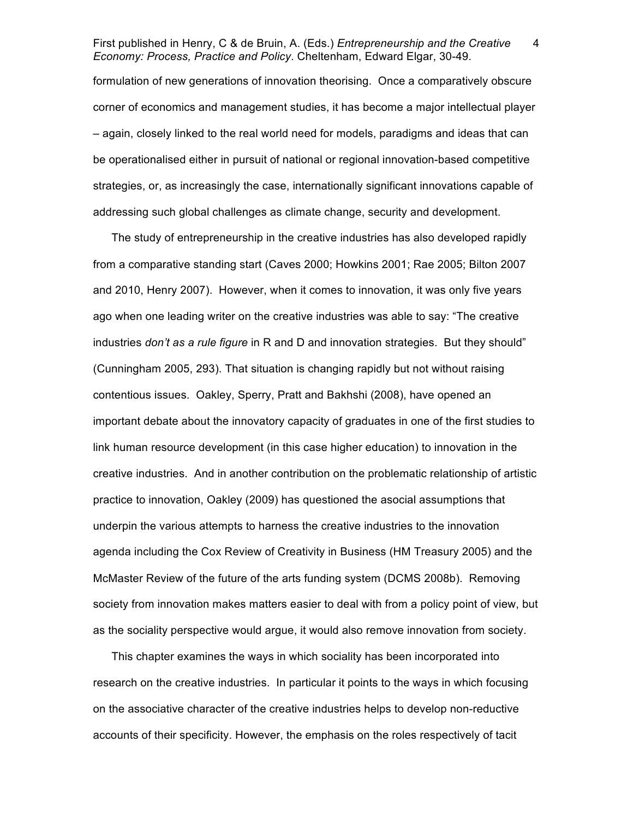formulation of new generations of innovation theorising. Once a comparatively obscure corner of economics and management studies, it has become a major intellectual player – again, closely linked to the real world need for models, paradigms and ideas that can be operationalised either in pursuit of national or regional innovation-based competitive strategies, or, as increasingly the case, internationally significant innovations capable of addressing such global challenges as climate change, security and development.

The study of entrepreneurship in the creative industries has also developed rapidly from a comparative standing start (Caves 2000; Howkins 2001; Rae 2005; Bilton 2007 and 2010, Henry 2007). However, when it comes to innovation, it was only five years ago when one leading writer on the creative industries was able to say: "The creative industries *don't as a rule figure* in R and D and innovation strategies. But they should" (Cunningham 2005, 293). That situation is changing rapidly but not without raising contentious issues. Oakley, Sperry, Pratt and Bakhshi (2008), have opened an important debate about the innovatory capacity of graduates in one of the first studies to link human resource development (in this case higher education) to innovation in the creative industries. And in another contribution on the problematic relationship of artistic practice to innovation, Oakley (2009) has questioned the asocial assumptions that underpin the various attempts to harness the creative industries to the innovation agenda including the Cox Review of Creativity in Business (HM Treasury 2005) and the McMaster Review of the future of the arts funding system (DCMS 2008b). Removing society from innovation makes matters easier to deal with from a policy point of view, but as the sociality perspective would argue, it would also remove innovation from society.

This chapter examines the ways in which sociality has been incorporated into research on the creative industries. In particular it points to the ways in which focusing on the associative character of the creative industries helps to develop non-reductive accounts of their specificity. However, the emphasis on the roles respectively of tacit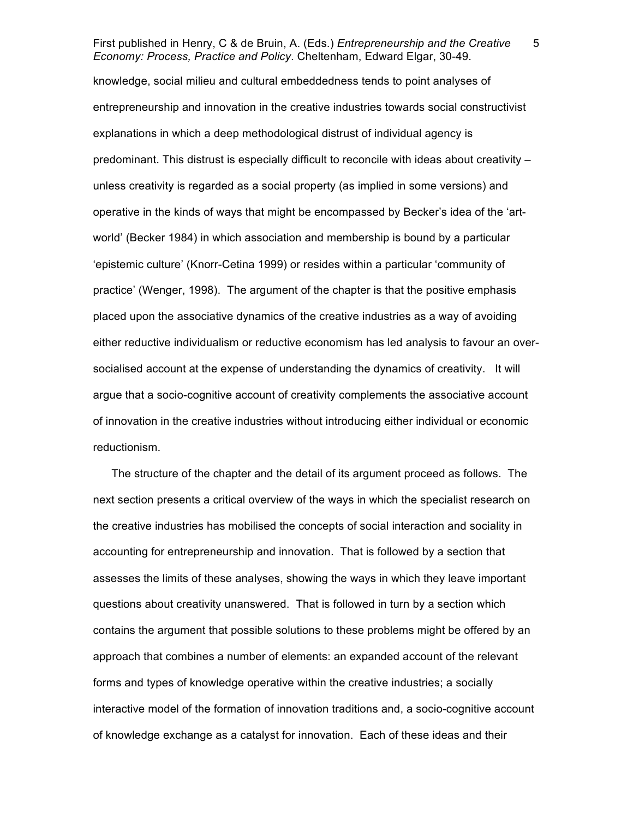knowledge, social milieu and cultural embeddedness tends to point analyses of entrepreneurship and innovation in the creative industries towards social constructivist explanations in which a deep methodological distrust of individual agency is predominant. This distrust is especially difficult to reconcile with ideas about creativity – unless creativity is regarded as a social property (as implied in some versions) and operative in the kinds of ways that might be encompassed by Becker's idea of the 'artworld' (Becker 1984) in which association and membership is bound by a particular 'epistemic culture' (Knorr-Cetina 1999) or resides within a particular 'community of practice' (Wenger, 1998). The argument of the chapter is that the positive emphasis placed upon the associative dynamics of the creative industries as a way of avoiding either reductive individualism or reductive economism has led analysis to favour an oversocialised account at the expense of understanding the dynamics of creativity. It will argue that a socio-cognitive account of creativity complements the associative account of innovation in the creative industries without introducing either individual or economic reductionism.

The structure of the chapter and the detail of its argument proceed as follows. The next section presents a critical overview of the ways in which the specialist research on the creative industries has mobilised the concepts of social interaction and sociality in accounting for entrepreneurship and innovation. That is followed by a section that assesses the limits of these analyses, showing the ways in which they leave important questions about creativity unanswered. That is followed in turn by a section which contains the argument that possible solutions to these problems might be offered by an approach that combines a number of elements: an expanded account of the relevant forms and types of knowledge operative within the creative industries; a socially interactive model of the formation of innovation traditions and, a socio-cognitive account of knowledge exchange as a catalyst for innovation. Each of these ideas and their

5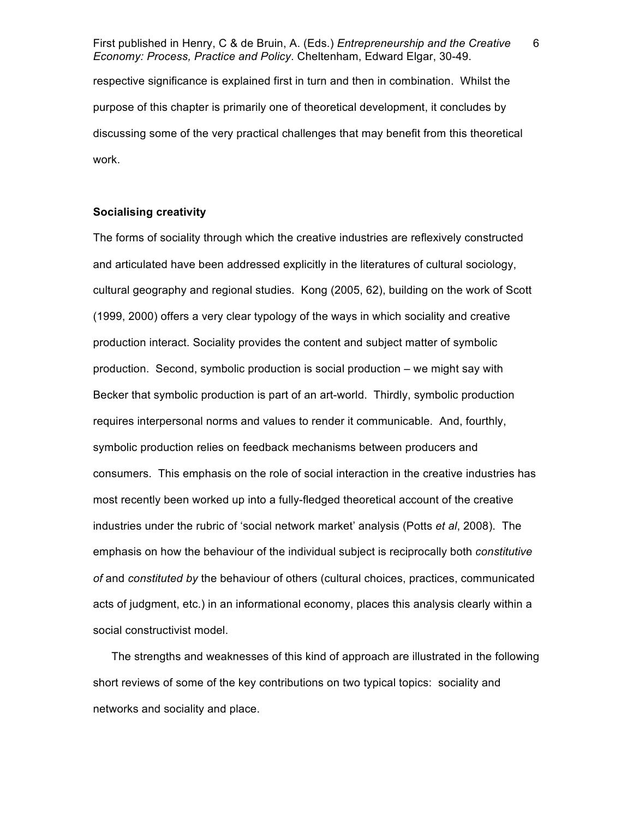respective significance is explained first in turn and then in combination. Whilst the purpose of this chapter is primarily one of theoretical development, it concludes by discussing some of the very practical challenges that may benefit from this theoretical work.

### **Socialising creativity**

The forms of sociality through which the creative industries are reflexively constructed and articulated have been addressed explicitly in the literatures of cultural sociology, cultural geography and regional studies. Kong (2005, 62), building on the work of Scott (1999, 2000) offers a very clear typology of the ways in which sociality and creative production interact. Sociality provides the content and subject matter of symbolic production. Second, symbolic production is social production – we might say with Becker that symbolic production is part of an art-world. Thirdly, symbolic production requires interpersonal norms and values to render it communicable. And, fourthly, symbolic production relies on feedback mechanisms between producers and consumers. This emphasis on the role of social interaction in the creative industries has most recently been worked up into a fully-fledged theoretical account of the creative industries under the rubric of 'social network market' analysis (Potts *et al*, 2008). The emphasis on how the behaviour of the individual subject is reciprocally both *constitutive of* and *constituted by* the behaviour of others (cultural choices, practices, communicated acts of judgment, etc.) in an informational economy, places this analysis clearly within a social constructivist model.

The strengths and weaknesses of this kind of approach are illustrated in the following short reviews of some of the key contributions on two typical topics: sociality and networks and sociality and place.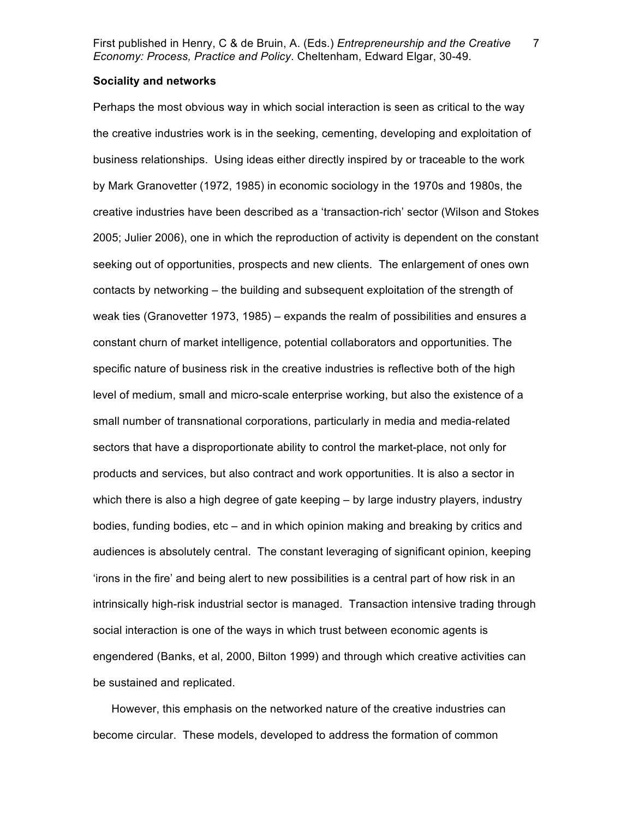### **Sociality and networks**

Perhaps the most obvious way in which social interaction is seen as critical to the way the creative industries work is in the seeking, cementing, developing and exploitation of business relationships. Using ideas either directly inspired by or traceable to the work by Mark Granovetter (1972, 1985) in economic sociology in the 1970s and 1980s, the creative industries have been described as a 'transaction-rich' sector (Wilson and Stokes 2005; Julier 2006), one in which the reproduction of activity is dependent on the constant seeking out of opportunities, prospects and new clients. The enlargement of ones own contacts by networking – the building and subsequent exploitation of the strength of weak ties (Granovetter 1973, 1985) – expands the realm of possibilities and ensures a constant churn of market intelligence, potential collaborators and opportunities. The specific nature of business risk in the creative industries is reflective both of the high level of medium, small and micro-scale enterprise working, but also the existence of a small number of transnational corporations, particularly in media and media-related sectors that have a disproportionate ability to control the market-place, not only for products and services, but also contract and work opportunities. It is also a sector in which there is also a high degree of gate keeping – by large industry players, industry bodies, funding bodies, etc – and in which opinion making and breaking by critics and audiences is absolutely central. The constant leveraging of significant opinion, keeping 'irons in the fire' and being alert to new possibilities is a central part of how risk in an intrinsically high-risk industrial sector is managed. Transaction intensive trading through social interaction is one of the ways in which trust between economic agents is engendered (Banks, et al, 2000, Bilton 1999) and through which creative activities can be sustained and replicated.

However, this emphasis on the networked nature of the creative industries can become circular. These models, developed to address the formation of common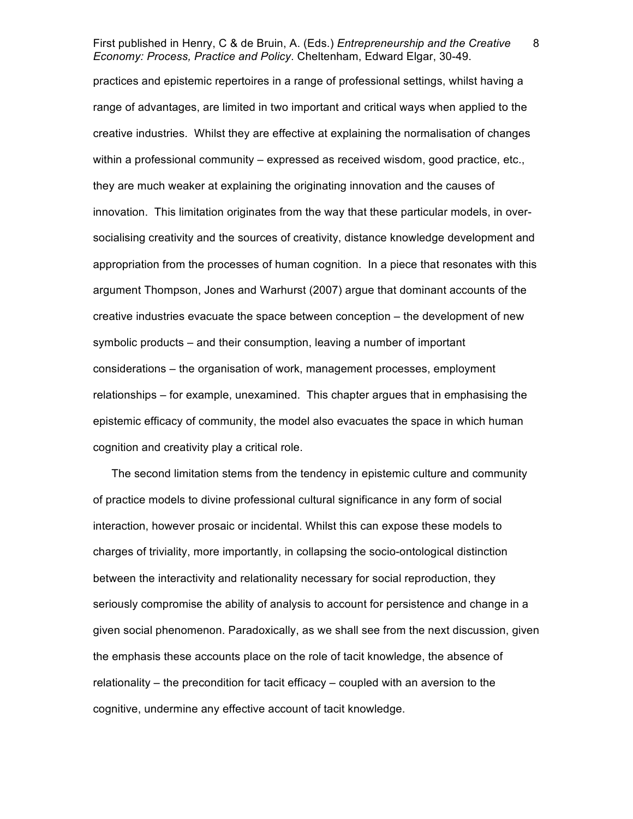practices and epistemic repertoires in a range of professional settings, whilst having a range of advantages, are limited in two important and critical ways when applied to the creative industries. Whilst they are effective at explaining the normalisation of changes within a professional community – expressed as received wisdom, good practice, etc., they are much weaker at explaining the originating innovation and the causes of innovation. This limitation originates from the way that these particular models, in oversocialising creativity and the sources of creativity, distance knowledge development and appropriation from the processes of human cognition. In a piece that resonates with this argument Thompson, Jones and Warhurst (2007) argue that dominant accounts of the creative industries evacuate the space between conception – the development of new symbolic products – and their consumption, leaving a number of important considerations – the organisation of work, management processes, employment relationships – for example, unexamined. This chapter argues that in emphasising the epistemic efficacy of community, the model also evacuates the space in which human cognition and creativity play a critical role.

The second limitation stems from the tendency in epistemic culture and community of practice models to divine professional cultural significance in any form of social interaction, however prosaic or incidental. Whilst this can expose these models to charges of triviality, more importantly, in collapsing the socio-ontological distinction between the interactivity and relationality necessary for social reproduction, they seriously compromise the ability of analysis to account for persistence and change in a given social phenomenon. Paradoxically, as we shall see from the next discussion, given the emphasis these accounts place on the role of tacit knowledge, the absence of relationality – the precondition for tacit efficacy – coupled with an aversion to the cognitive, undermine any effective account of tacit knowledge.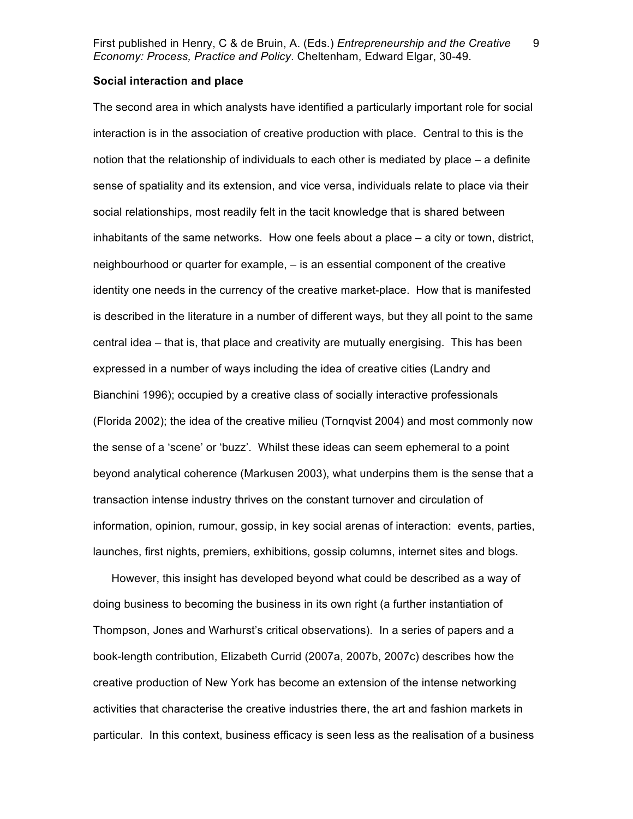### **Social interaction and place**

The second area in which analysts have identified a particularly important role for social interaction is in the association of creative production with place. Central to this is the notion that the relationship of individuals to each other is mediated by place – a definite sense of spatiality and its extension, and vice versa, individuals relate to place via their social relationships, most readily felt in the tacit knowledge that is shared between inhabitants of the same networks. How one feels about a place – a city or town, district, neighbourhood or quarter for example, – is an essential component of the creative identity one needs in the currency of the creative market-place. How that is manifested is described in the literature in a number of different ways, but they all point to the same central idea – that is, that place and creativity are mutually energising. This has been expressed in a number of ways including the idea of creative cities (Landry and Bianchini 1996); occupied by a creative class of socially interactive professionals (Florida 2002); the idea of the creative milieu (Tornqvist 2004) and most commonly now the sense of a 'scene' or 'buzz'. Whilst these ideas can seem ephemeral to a point beyond analytical coherence (Markusen 2003), what underpins them is the sense that a transaction intense industry thrives on the constant turnover and circulation of information, opinion, rumour, gossip, in key social arenas of interaction: events, parties, launches, first nights, premiers, exhibitions, gossip columns, internet sites and blogs.

However, this insight has developed beyond what could be described as a way of doing business to becoming the business in its own right (a further instantiation of Thompson, Jones and Warhurst's critical observations). In a series of papers and a book-length contribution, Elizabeth Currid (2007a, 2007b, 2007c) describes how the creative production of New York has become an extension of the intense networking activities that characterise the creative industries there, the art and fashion markets in particular. In this context, business efficacy is seen less as the realisation of a business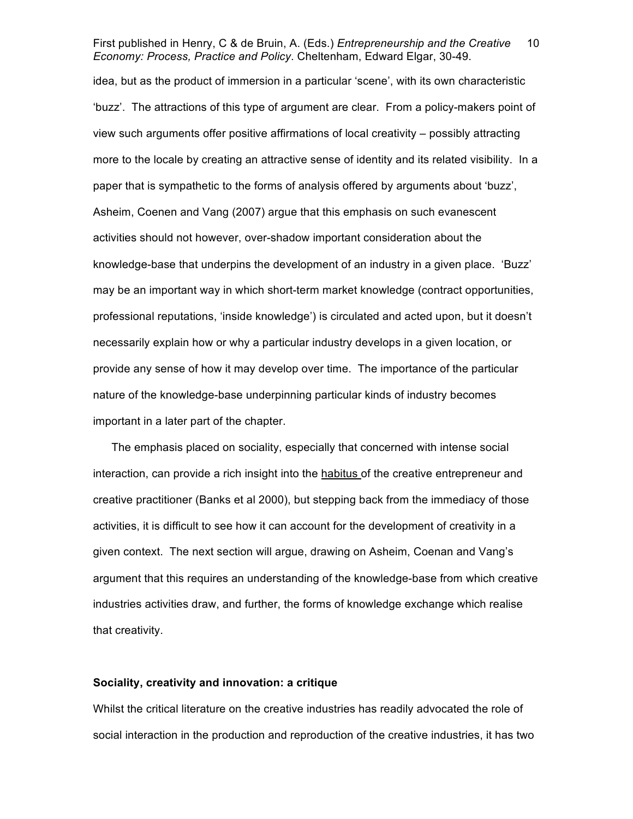idea, but as the product of immersion in a particular 'scene', with its own characteristic 'buzz'. The attractions of this type of argument are clear. From a policy-makers point of view such arguments offer positive affirmations of local creativity – possibly attracting more to the locale by creating an attractive sense of identity and its related visibility. In a paper that is sympathetic to the forms of analysis offered by arguments about 'buzz', Asheim, Coenen and Vang (2007) argue that this emphasis on such evanescent activities should not however, over-shadow important consideration about the knowledge-base that underpins the development of an industry in a given place. 'Buzz' may be an important way in which short-term market knowledge (contract opportunities, professional reputations, 'inside knowledge') is circulated and acted upon, but it doesn't necessarily explain how or why a particular industry develops in a given location, or provide any sense of how it may develop over time. The importance of the particular nature of the knowledge-base underpinning particular kinds of industry becomes important in a later part of the chapter.

The emphasis placed on sociality, especially that concerned with intense social interaction, can provide a rich insight into the habitus of the creative entrepreneur and creative practitioner (Banks et al 2000), but stepping back from the immediacy of those activities, it is difficult to see how it can account for the development of creativity in a given context. The next section will argue, drawing on Asheim, Coenan and Vang's argument that this requires an understanding of the knowledge-base from which creative industries activities draw, and further, the forms of knowledge exchange which realise that creativity.

### **Sociality, creativity and innovation: a critique**

Whilst the critical literature on the creative industries has readily advocated the role of social interaction in the production and reproduction of the creative industries, it has two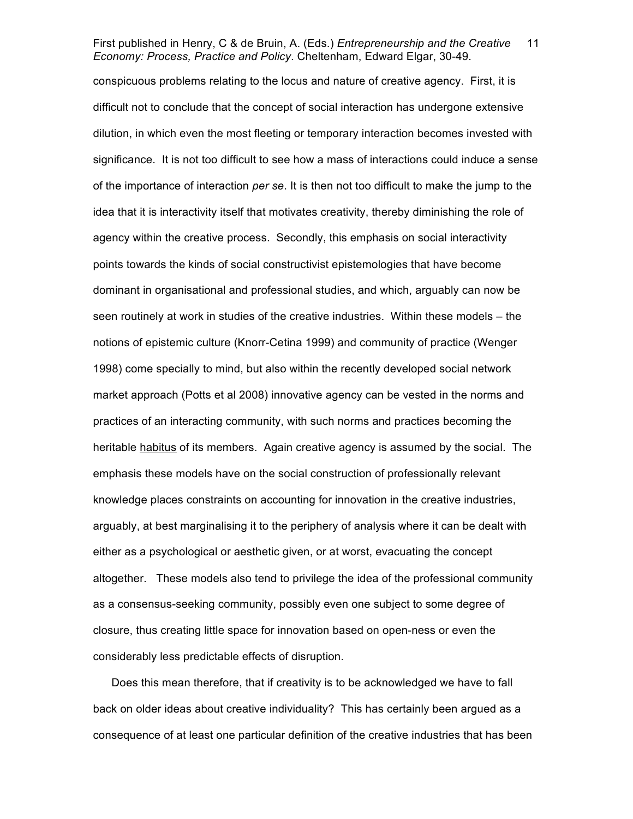conspicuous problems relating to the locus and nature of creative agency. First, it is difficult not to conclude that the concept of social interaction has undergone extensive dilution, in which even the most fleeting or temporary interaction becomes invested with significance. It is not too difficult to see how a mass of interactions could induce a sense of the importance of interaction *per se*. It is then not too difficult to make the jump to the idea that it is interactivity itself that motivates creativity, thereby diminishing the role of agency within the creative process. Secondly, this emphasis on social interactivity points towards the kinds of social constructivist epistemologies that have become dominant in organisational and professional studies, and which, arguably can now be seen routinely at work in studies of the creative industries. Within these models – the notions of epistemic culture (Knorr-Cetina 1999) and community of practice (Wenger 1998) come specially to mind, but also within the recently developed social network market approach (Potts et al 2008) innovative agency can be vested in the norms and practices of an interacting community, with such norms and practices becoming the heritable habitus of its members. Again creative agency is assumed by the social. The emphasis these models have on the social construction of professionally relevant knowledge places constraints on accounting for innovation in the creative industries, arguably, at best marginalising it to the periphery of analysis where it can be dealt with either as a psychological or aesthetic given, or at worst, evacuating the concept altogether. These models also tend to privilege the idea of the professional community as a consensus-seeking community, possibly even one subject to some degree of closure, thus creating little space for innovation based on open-ness or even the considerably less predictable effects of disruption.

Does this mean therefore, that if creativity is to be acknowledged we have to fall back on older ideas about creative individuality? This has certainly been argued as a consequence of at least one particular definition of the creative industries that has been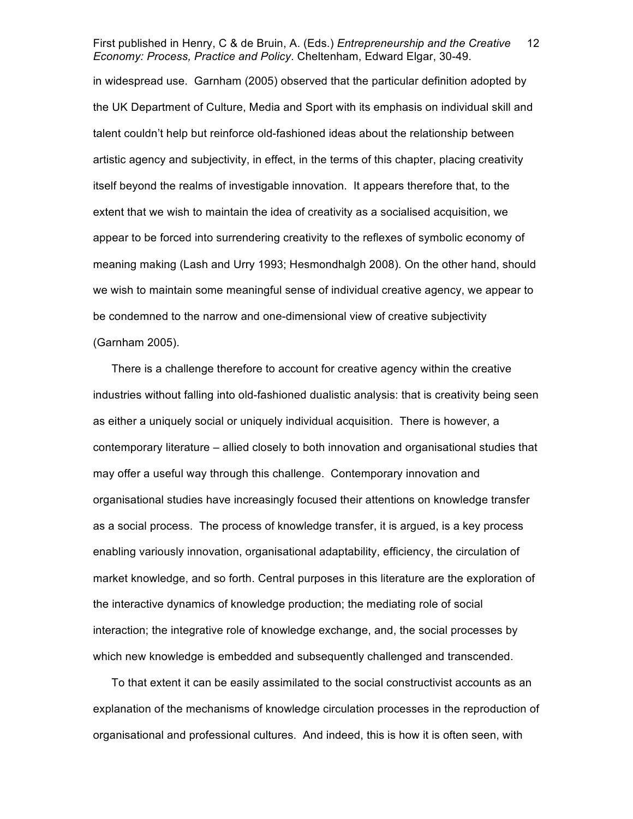in widespread use. Garnham (2005) observed that the particular definition adopted by the UK Department of Culture, Media and Sport with its emphasis on individual skill and talent couldn't help but reinforce old-fashioned ideas about the relationship between artistic agency and subjectivity, in effect, in the terms of this chapter, placing creativity itself beyond the realms of investigable innovation. It appears therefore that, to the extent that we wish to maintain the idea of creativity as a socialised acquisition, we appear to be forced into surrendering creativity to the reflexes of symbolic economy of meaning making (Lash and Urry 1993; Hesmondhalgh 2008). On the other hand, should we wish to maintain some meaningful sense of individual creative agency, we appear to be condemned to the narrow and one-dimensional view of creative subjectivity (Garnham 2005).

There is a challenge therefore to account for creative agency within the creative industries without falling into old-fashioned dualistic analysis: that is creativity being seen as either a uniquely social or uniquely individual acquisition. There is however, a contemporary literature – allied closely to both innovation and organisational studies that may offer a useful way through this challenge. Contemporary innovation and organisational studies have increasingly focused their attentions on knowledge transfer as a social process. The process of knowledge transfer, it is argued, is a key process enabling variously innovation, organisational adaptability, efficiency, the circulation of market knowledge, and so forth. Central purposes in this literature are the exploration of the interactive dynamics of knowledge production; the mediating role of social interaction; the integrative role of knowledge exchange, and, the social processes by which new knowledge is embedded and subsequently challenged and transcended.

To that extent it can be easily assimilated to the social constructivist accounts as an explanation of the mechanisms of knowledge circulation processes in the reproduction of organisational and professional cultures. And indeed, this is how it is often seen, with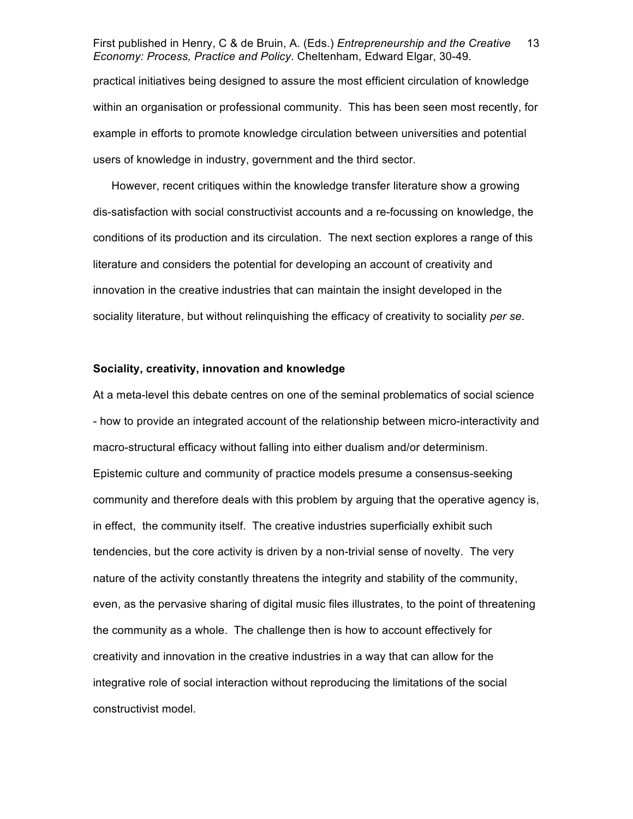practical initiatives being designed to assure the most efficient circulation of knowledge within an organisation or professional community. This has been seen most recently, for example in efforts to promote knowledge circulation between universities and potential users of knowledge in industry, government and the third sector.

However, recent critiques within the knowledge transfer literature show a growing dis-satisfaction with social constructivist accounts and a re-focussing on knowledge, the conditions of its production and its circulation. The next section explores a range of this literature and considers the potential for developing an account of creativity and innovation in the creative industries that can maintain the insight developed in the sociality literature, but without relinquishing the efficacy of creativity to sociality *per se*.

### **Sociality, creativity, innovation and knowledge**

At a meta-level this debate centres on one of the seminal problematics of social science - how to provide an integrated account of the relationship between micro-interactivity and macro-structural efficacy without falling into either dualism and/or determinism. Epistemic culture and community of practice models presume a consensus-seeking community and therefore deals with this problem by arguing that the operative agency is, in effect, the community itself. The creative industries superficially exhibit such tendencies, but the core activity is driven by a non-trivial sense of novelty. The very nature of the activity constantly threatens the integrity and stability of the community, even, as the pervasive sharing of digital music files illustrates, to the point of threatening the community as a whole. The challenge then is how to account effectively for creativity and innovation in the creative industries in a way that can allow for the integrative role of social interaction without reproducing the limitations of the social constructivist model.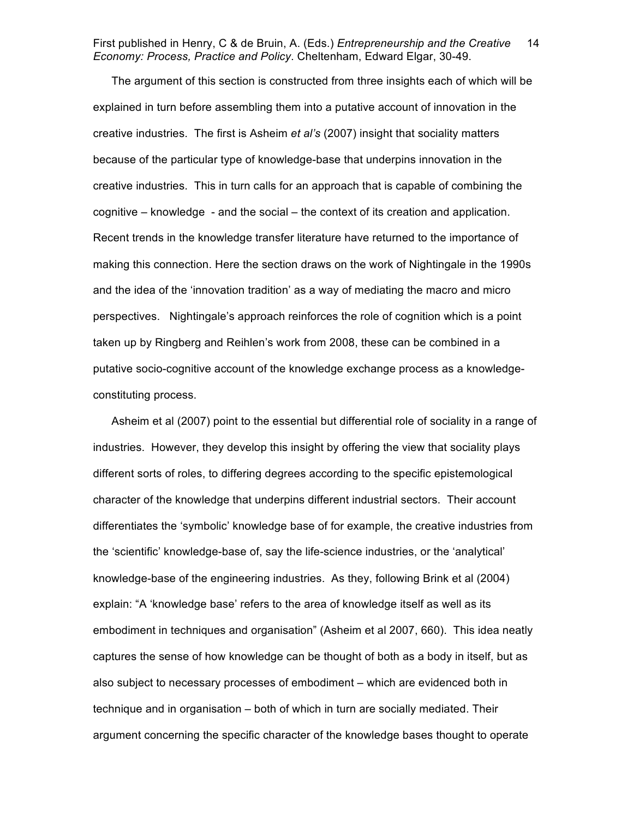The argument of this section is constructed from three insights each of which will be explained in turn before assembling them into a putative account of innovation in the creative industries. The first is Asheim *et al's* (2007) insight that sociality matters because of the particular type of knowledge-base that underpins innovation in the creative industries. This in turn calls for an approach that is capable of combining the cognitive – knowledge - and the social – the context of its creation and application. Recent trends in the knowledge transfer literature have returned to the importance of making this connection. Here the section draws on the work of Nightingale in the 1990s and the idea of the 'innovation tradition' as a way of mediating the macro and micro perspectives. Nightingale's approach reinforces the role of cognition which is a point taken up by Ringberg and Reihlen's work from 2008, these can be combined in a putative socio-cognitive account of the knowledge exchange process as a knowledgeconstituting process.

Asheim et al (2007) point to the essential but differential role of sociality in a range of industries. However, they develop this insight by offering the view that sociality plays different sorts of roles, to differing degrees according to the specific epistemological character of the knowledge that underpins different industrial sectors. Their account differentiates the 'symbolic' knowledge base of for example, the creative industries from the 'scientific' knowledge-base of, say the life-science industries, or the 'analytical' knowledge-base of the engineering industries. As they, following Brink et al (2004) explain: "A 'knowledge base' refers to the area of knowledge itself as well as its embodiment in techniques and organisation" (Asheim et al 2007, 660). This idea neatly captures the sense of how knowledge can be thought of both as a body in itself, but as also subject to necessary processes of embodiment – which are evidenced both in technique and in organisation – both of which in turn are socially mediated. Their argument concerning the specific character of the knowledge bases thought to operate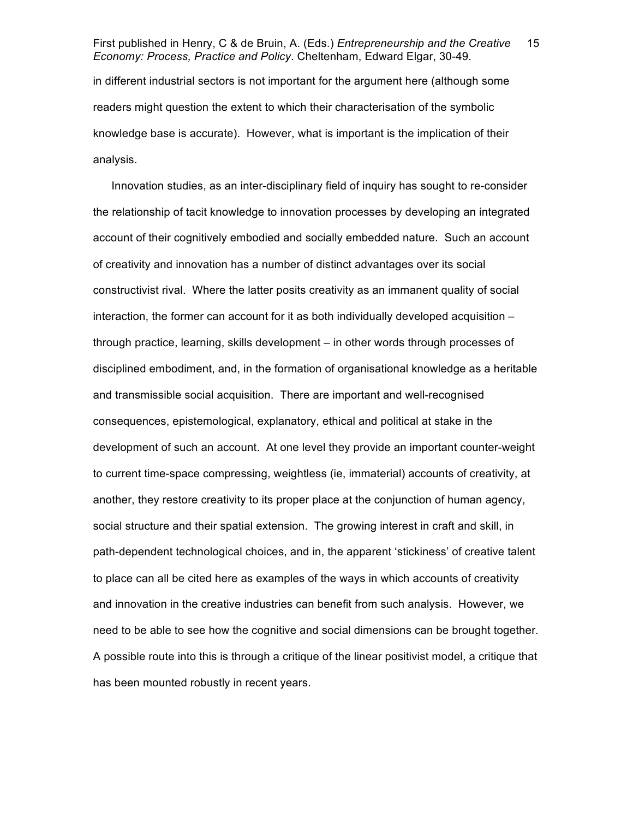in different industrial sectors is not important for the argument here (although some readers might question the extent to which their characterisation of the symbolic knowledge base is accurate). However, what is important is the implication of their analysis.

Innovation studies, as an inter-disciplinary field of inquiry has sought to re-consider the relationship of tacit knowledge to innovation processes by developing an integrated account of their cognitively embodied and socially embedded nature. Such an account of creativity and innovation has a number of distinct advantages over its social constructivist rival. Where the latter posits creativity as an immanent quality of social interaction, the former can account for it as both individually developed acquisition – through practice, learning, skills development – in other words through processes of disciplined embodiment, and, in the formation of organisational knowledge as a heritable and transmissible social acquisition. There are important and well-recognised consequences, epistemological, explanatory, ethical and political at stake in the development of such an account. At one level they provide an important counter-weight to current time-space compressing, weightless (ie, immaterial) accounts of creativity, at another, they restore creativity to its proper place at the conjunction of human agency, social structure and their spatial extension. The growing interest in craft and skill, in path-dependent technological choices, and in, the apparent 'stickiness' of creative talent to place can all be cited here as examples of the ways in which accounts of creativity and innovation in the creative industries can benefit from such analysis. However, we need to be able to see how the cognitive and social dimensions can be brought together. A possible route into this is through a critique of the linear positivist model, a critique that has been mounted robustly in recent years.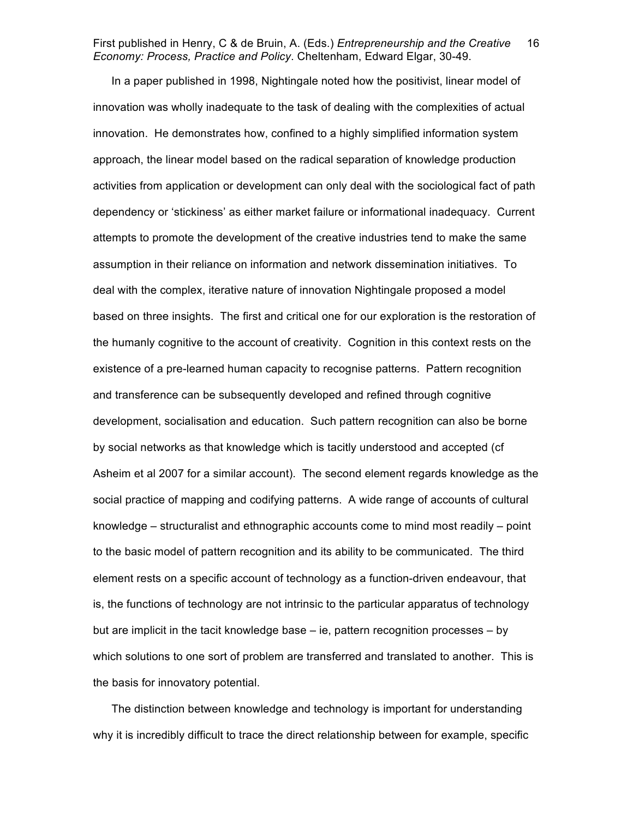In a paper published in 1998, Nightingale noted how the positivist, linear model of innovation was wholly inadequate to the task of dealing with the complexities of actual innovation. He demonstrates how, confined to a highly simplified information system approach, the linear model based on the radical separation of knowledge production activities from application or development can only deal with the sociological fact of path dependency or 'stickiness' as either market failure or informational inadequacy. Current attempts to promote the development of the creative industries tend to make the same assumption in their reliance on information and network dissemination initiatives. To deal with the complex, iterative nature of innovation Nightingale proposed a model based on three insights. The first and critical one for our exploration is the restoration of the humanly cognitive to the account of creativity. Cognition in this context rests on the existence of a pre-learned human capacity to recognise patterns. Pattern recognition and transference can be subsequently developed and refined through cognitive development, socialisation and education. Such pattern recognition can also be borne by social networks as that knowledge which is tacitly understood and accepted (cf Asheim et al 2007 for a similar account). The second element regards knowledge as the social practice of mapping and codifying patterns. A wide range of accounts of cultural knowledge – structuralist and ethnographic accounts come to mind most readily – point to the basic model of pattern recognition and its ability to be communicated. The third element rests on a specific account of technology as a function-driven endeavour, that is, the functions of technology are not intrinsic to the particular apparatus of technology but are implicit in the tacit knowledge base – ie, pattern recognition processes – by which solutions to one sort of problem are transferred and translated to another. This is the basis for innovatory potential.

The distinction between knowledge and technology is important for understanding why it is incredibly difficult to trace the direct relationship between for example, specific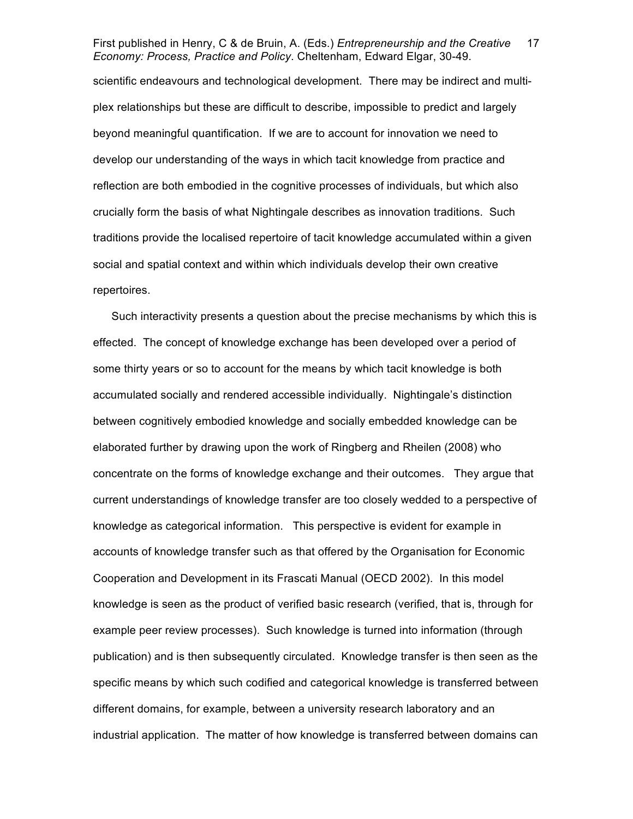scientific endeavours and technological development. There may be indirect and multiplex relationships but these are difficult to describe, impossible to predict and largely beyond meaningful quantification. If we are to account for innovation we need to develop our understanding of the ways in which tacit knowledge from practice and reflection are both embodied in the cognitive processes of individuals, but which also crucially form the basis of what Nightingale describes as innovation traditions. Such traditions provide the localised repertoire of tacit knowledge accumulated within a given social and spatial context and within which individuals develop their own creative repertoires.

Such interactivity presents a question about the precise mechanisms by which this is effected. The concept of knowledge exchange has been developed over a period of some thirty years or so to account for the means by which tacit knowledge is both accumulated socially and rendered accessible individually. Nightingale's distinction between cognitively embodied knowledge and socially embedded knowledge can be elaborated further by drawing upon the work of Ringberg and Rheilen (2008) who concentrate on the forms of knowledge exchange and their outcomes. They argue that current understandings of knowledge transfer are too closely wedded to a perspective of knowledge as categorical information. This perspective is evident for example in accounts of knowledge transfer such as that offered by the Organisation for Economic Cooperation and Development in its Frascati Manual (OECD 2002). In this model knowledge is seen as the product of verified basic research (verified, that is, through for example peer review processes). Such knowledge is turned into information (through publication) and is then subsequently circulated. Knowledge transfer is then seen as the specific means by which such codified and categorical knowledge is transferred between different domains, for example, between a university research laboratory and an industrial application. The matter of how knowledge is transferred between domains can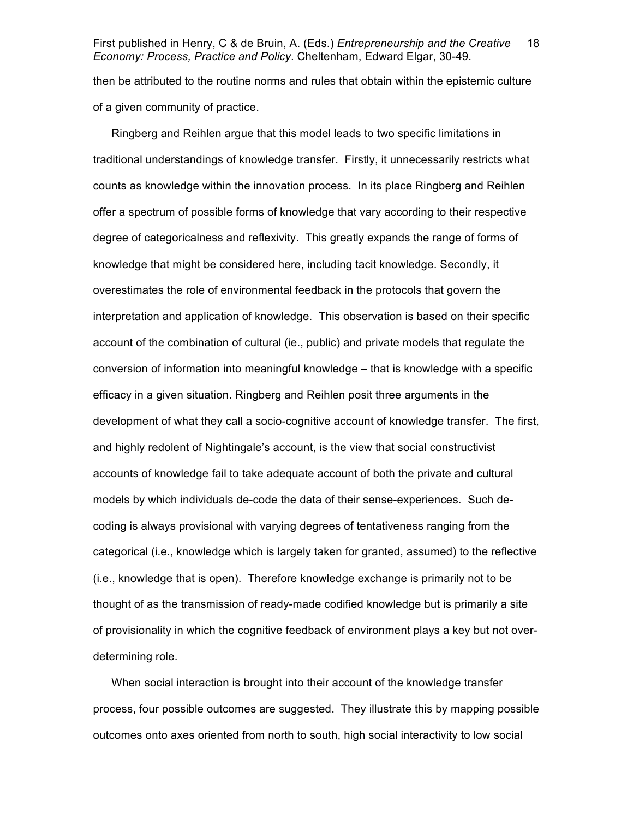then be attributed to the routine norms and rules that obtain within the epistemic culture of a given community of practice.

Ringberg and Reihlen argue that this model leads to two specific limitations in traditional understandings of knowledge transfer. Firstly, it unnecessarily restricts what counts as knowledge within the innovation process. In its place Ringberg and Reihlen offer a spectrum of possible forms of knowledge that vary according to their respective degree of categoricalness and reflexivity. This greatly expands the range of forms of knowledge that might be considered here, including tacit knowledge. Secondly, it overestimates the role of environmental feedback in the protocols that govern the interpretation and application of knowledge. This observation is based on their specific account of the combination of cultural (ie., public) and private models that regulate the conversion of information into meaningful knowledge – that is knowledge with a specific efficacy in a given situation. Ringberg and Reihlen posit three arguments in the development of what they call a socio-cognitive account of knowledge transfer. The first, and highly redolent of Nightingale's account, is the view that social constructivist accounts of knowledge fail to take adequate account of both the private and cultural models by which individuals de-code the data of their sense-experiences. Such decoding is always provisional with varying degrees of tentativeness ranging from the categorical (i.e., knowledge which is largely taken for granted, assumed) to the reflective (i.e., knowledge that is open). Therefore knowledge exchange is primarily not to be thought of as the transmission of ready-made codified knowledge but is primarily a site of provisionality in which the cognitive feedback of environment plays a key but not overdetermining role.

When social interaction is brought into their account of the knowledge transfer process, four possible outcomes are suggested. They illustrate this by mapping possible outcomes onto axes oriented from north to south, high social interactivity to low social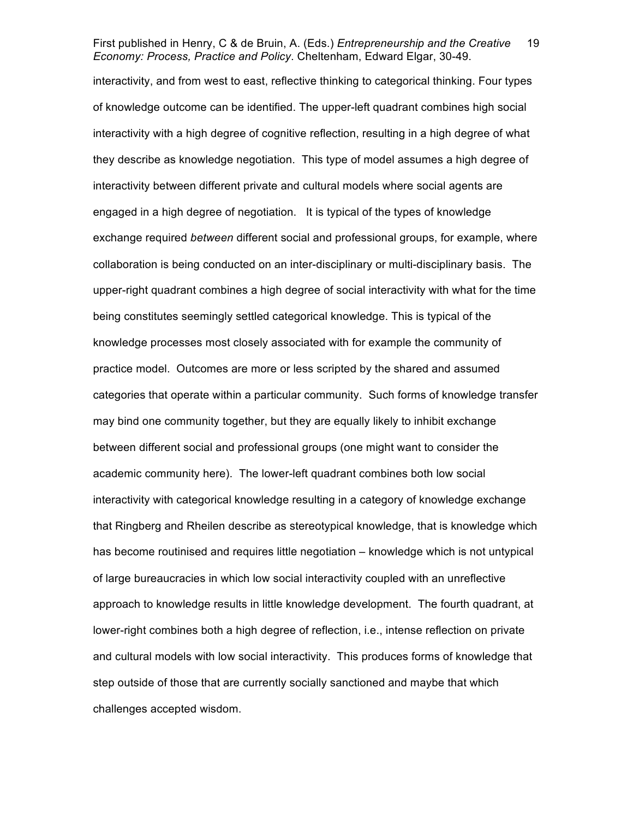interactivity, and from west to east, reflective thinking to categorical thinking. Four types of knowledge outcome can be identified. The upper-left quadrant combines high social interactivity with a high degree of cognitive reflection, resulting in a high degree of what they describe as knowledge negotiation. This type of model assumes a high degree of interactivity between different private and cultural models where social agents are engaged in a high degree of negotiation. It is typical of the types of knowledge exchange required *between* different social and professional groups, for example, where collaboration is being conducted on an inter-disciplinary or multi-disciplinary basis. The upper-right quadrant combines a high degree of social interactivity with what for the time being constitutes seemingly settled categorical knowledge. This is typical of the knowledge processes most closely associated with for example the community of practice model. Outcomes are more or less scripted by the shared and assumed categories that operate within a particular community. Such forms of knowledge transfer may bind one community together, but they are equally likely to inhibit exchange between different social and professional groups (one might want to consider the academic community here). The lower-left quadrant combines both low social interactivity with categorical knowledge resulting in a category of knowledge exchange that Ringberg and Rheilen describe as stereotypical knowledge, that is knowledge which has become routinised and requires little negotiation – knowledge which is not untypical of large bureaucracies in which low social interactivity coupled with an unreflective approach to knowledge results in little knowledge development. The fourth quadrant, at lower-right combines both a high degree of reflection, i.e., intense reflection on private and cultural models with low social interactivity. This produces forms of knowledge that step outside of those that are currently socially sanctioned and maybe that which challenges accepted wisdom.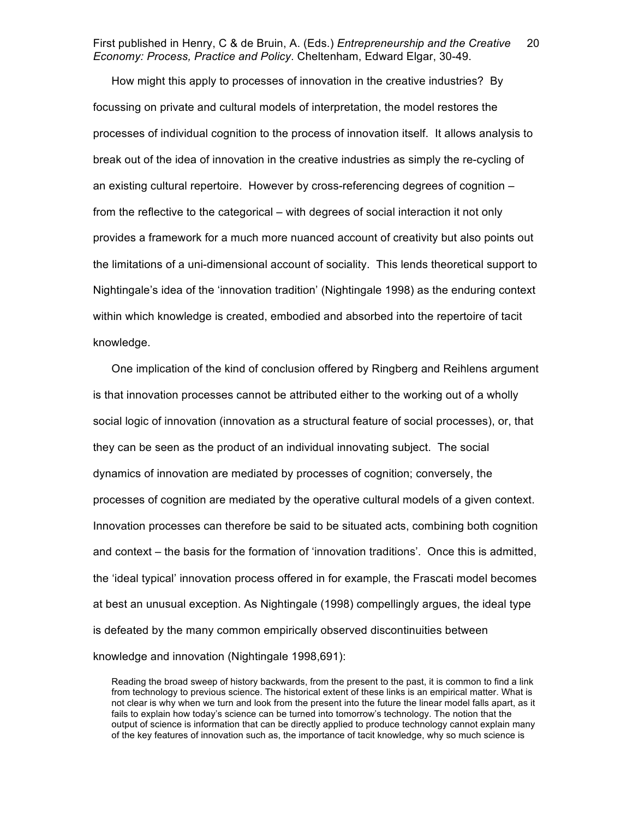How might this apply to processes of innovation in the creative industries? By focussing on private and cultural models of interpretation, the model restores the processes of individual cognition to the process of innovation itself. It allows analysis to break out of the idea of innovation in the creative industries as simply the re-cycling of an existing cultural repertoire. However by cross-referencing degrees of cognition – from the reflective to the categorical – with degrees of social interaction it not only provides a framework for a much more nuanced account of creativity but also points out the limitations of a uni-dimensional account of sociality. This lends theoretical support to Nightingale's idea of the 'innovation tradition' (Nightingale 1998) as the enduring context within which knowledge is created, embodied and absorbed into the repertoire of tacit knowledge.

One implication of the kind of conclusion offered by Ringberg and Reihlens argument is that innovation processes cannot be attributed either to the working out of a wholly social logic of innovation (innovation as a structural feature of social processes), or, that they can be seen as the product of an individual innovating subject. The social dynamics of innovation are mediated by processes of cognition; conversely, the processes of cognition are mediated by the operative cultural models of a given context. Innovation processes can therefore be said to be situated acts, combining both cognition and context – the basis for the formation of 'innovation traditions'. Once this is admitted, the 'ideal typical' innovation process offered in for example, the Frascati model becomes at best an unusual exception. As Nightingale (1998) compellingly argues, the ideal type is defeated by the many common empirically observed discontinuities between knowledge and innovation (Nightingale 1998,691):

Reading the broad sweep of history backwards, from the present to the past, it is common to find a link from technology to previous science. The historical extent of these links is an empirical matter. What is not clear is why when we turn and look from the present into the future the linear model falls apart, as it fails to explain how today's science can be turned into tomorrow's technology. The notion that the output of science is information that can be directly applied to produce technology cannot explain many of the key features of innovation such as, the importance of tacit knowledge, why so much science is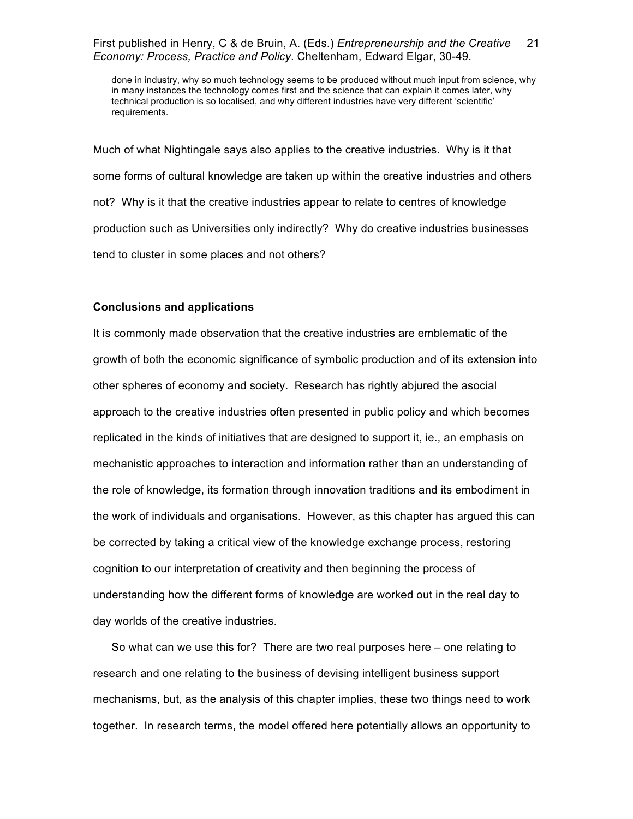done in industry, why so much technology seems to be produced without much input from science, why in many instances the technology comes first and the science that can explain it comes later, why technical production is so localised, and why different industries have very different 'scientific' requirements.

Much of what Nightingale says also applies to the creative industries. Why is it that some forms of cultural knowledge are taken up within the creative industries and others not? Why is it that the creative industries appear to relate to centres of knowledge production such as Universities only indirectly? Why do creative industries businesses tend to cluster in some places and not others?

### **Conclusions and applications**

It is commonly made observation that the creative industries are emblematic of the growth of both the economic significance of symbolic production and of its extension into other spheres of economy and society. Research has rightly abjured the asocial approach to the creative industries often presented in public policy and which becomes replicated in the kinds of initiatives that are designed to support it, ie., an emphasis on mechanistic approaches to interaction and information rather than an understanding of the role of knowledge, its formation through innovation traditions and its embodiment in the work of individuals and organisations. However, as this chapter has argued this can be corrected by taking a critical view of the knowledge exchange process, restoring cognition to our interpretation of creativity and then beginning the process of understanding how the different forms of knowledge are worked out in the real day to day worlds of the creative industries.

So what can we use this for? There are two real purposes here – one relating to research and one relating to the business of devising intelligent business support mechanisms, but, as the analysis of this chapter implies, these two things need to work together. In research terms, the model offered here potentially allows an opportunity to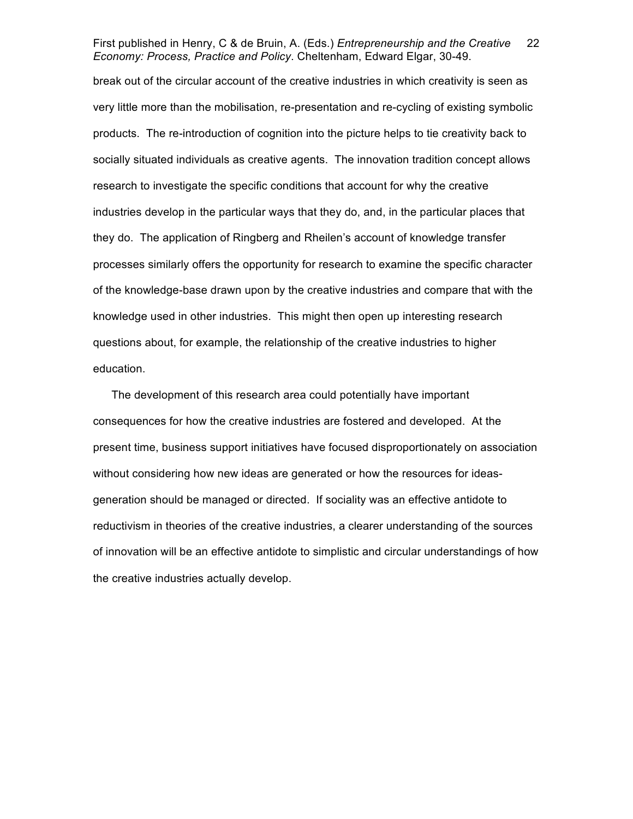break out of the circular account of the creative industries in which creativity is seen as very little more than the mobilisation, re-presentation and re-cycling of existing symbolic products. The re-introduction of cognition into the picture helps to tie creativity back to socially situated individuals as creative agents. The innovation tradition concept allows research to investigate the specific conditions that account for why the creative industries develop in the particular ways that they do, and, in the particular places that they do. The application of Ringberg and Rheilen's account of knowledge transfer processes similarly offers the opportunity for research to examine the specific character of the knowledge-base drawn upon by the creative industries and compare that with the knowledge used in other industries. This might then open up interesting research questions about, for example, the relationship of the creative industries to higher education.

The development of this research area could potentially have important consequences for how the creative industries are fostered and developed. At the present time, business support initiatives have focused disproportionately on association without considering how new ideas are generated or how the resources for ideasgeneration should be managed or directed. If sociality was an effective antidote to reductivism in theories of the creative industries, a clearer understanding of the sources of innovation will be an effective antidote to simplistic and circular understandings of how the creative industries actually develop.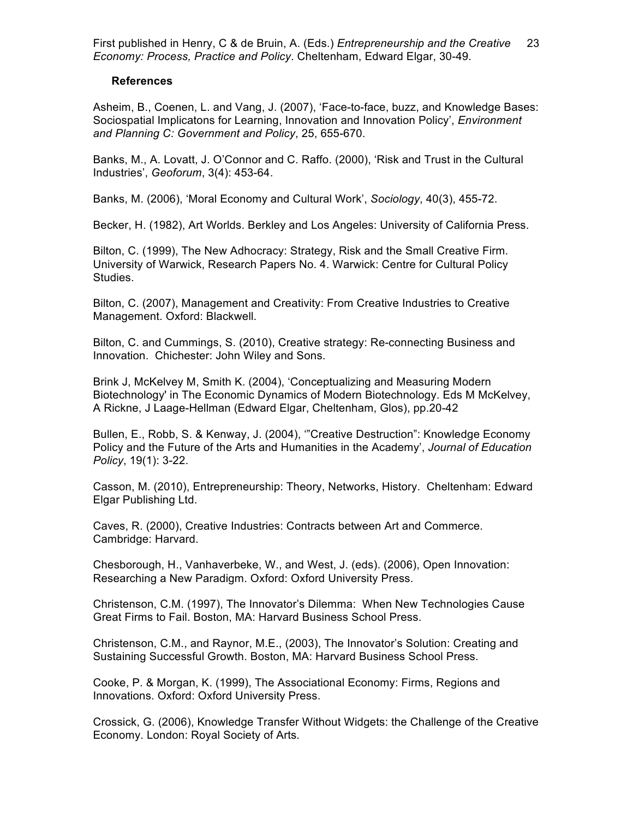### **References**

Asheim, B., Coenen, L. and Vang, J. (2007), 'Face-to-face, buzz, and Knowledge Bases: Sociospatial Implicatons for Learning, Innovation and Innovation Policy', *Environment and Planning C: Government and Policy*, 25, 655-670.

Banks, M., A. Lovatt, J. O'Connor and C. Raffo. (2000), 'Risk and Trust in the Cultural Industries', *Geoforum*, 3(4): 453-64.

Banks, M. (2006), 'Moral Economy and Cultural Work', *Sociology*, 40(3), 455-72.

Becker, H. (1982), Art Worlds. Berkley and Los Angeles: University of California Press.

Bilton, C. (1999), The New Adhocracy: Strategy, Risk and the Small Creative Firm. University of Warwick, Research Papers No. 4. Warwick: Centre for Cultural Policy Studies.

Bilton, C. (2007), Management and Creativity: From Creative Industries to Creative Management. Oxford: Blackwell.

Bilton, C. and Cummings, S. (2010), Creative strategy: Re-connecting Business and Innovation. Chichester: John Wiley and Sons.

Brink J, McKelvey M, Smith K. (2004), 'Conceptualizing and Measuring Modern Biotechnology' in The Economic Dynamics of Modern Biotechnology. Eds M McKelvey, A Rickne, J Laage-Hellman (Edward Elgar, Cheltenham, Glos), pp.20-42

Bullen, E., Robb, S. & Kenway, J. (2004), '"Creative Destruction": Knowledge Economy Policy and the Future of the Arts and Humanities in the Academy', *Journal of Education Policy*, 19(1): 3-22.

Casson, M. (2010), Entrepreneurship: Theory, Networks, History. Cheltenham: Edward Elgar Publishing Ltd.

Caves, R. (2000), Creative Industries: Contracts between Art and Commerce. Cambridge: Harvard.

Chesborough, H., Vanhaverbeke, W., and West, J. (eds). (2006), Open Innovation: Researching a New Paradigm. Oxford: Oxford University Press.

Christenson, C.M. (1997), The Innovator's Dilemma: When New Technologies Cause Great Firms to Fail. Boston, MA: Harvard Business School Press.

Christenson, C.M., and Raynor, M.E., (2003), The Innovator's Solution: Creating and Sustaining Successful Growth. Boston, MA: Harvard Business School Press.

Cooke, P. & Morgan, K. (1999), The Associational Economy: Firms, Regions and Innovations. Oxford: Oxford University Press.

Crossick, G. (2006), Knowledge Transfer Without Widgets: the Challenge of the Creative Economy. London: Royal Society of Arts.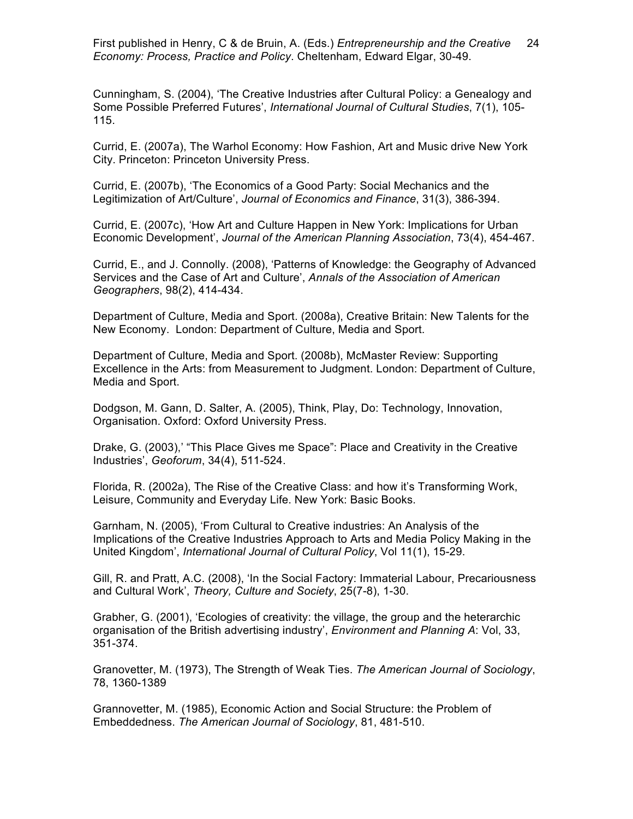Cunningham, S. (2004), 'The Creative Industries after Cultural Policy: a Genealogy and Some Possible Preferred Futures', *International Journal of Cultural Studies*, 7(1), 105- 115.

Currid, E. (2007a), The Warhol Economy: How Fashion, Art and Music drive New York City. Princeton: Princeton University Press.

Currid, E. (2007b), 'The Economics of a Good Party: Social Mechanics and the Legitimization of Art/Culture', *Journal of Economics and Finance*, 31(3), 386-394.

Currid, E. (2007c), 'How Art and Culture Happen in New York: Implications for Urban Economic Development', *Journal of the American Planning Association*, 73(4), 454-467.

Currid, E., and J. Connolly. (2008), 'Patterns of Knowledge: the Geography of Advanced Services and the Case of Art and Culture', *Annals of the Association of American Geographers*, 98(2), 414-434.

Department of Culture, Media and Sport. (2008a), Creative Britain: New Talents for the New Economy. London: Department of Culture, Media and Sport.

Department of Culture, Media and Sport. (2008b), McMaster Review: Supporting Excellence in the Arts: from Measurement to Judgment. London: Department of Culture, Media and Sport.

Dodgson, M. Gann, D. Salter, A. (2005), Think, Play, Do: Technology, Innovation, Organisation. Oxford: Oxford University Press.

Drake, G. (2003),' "This Place Gives me Space": Place and Creativity in the Creative Industries', *Geoforum*, 34(4), 511-524.

Florida, R. (2002a), The Rise of the Creative Class: and how it's Transforming Work, Leisure, Community and Everyday Life. New York: Basic Books.

Garnham, N. (2005), 'From Cultural to Creative industries: An Analysis of the Implications of the Creative Industries Approach to Arts and Media Policy Making in the United Kingdom', *International Journal of Cultural Policy*, Vol 11(1), 15-29.

Gill, R. and Pratt, A.C. (2008), 'In the Social Factory: Immaterial Labour, Precariousness and Cultural Work', *Theory, Culture and Society*, 25(7-8), 1-30.

Grabher, G. (2001), 'Ecologies of creativity: the village, the group and the heterarchic organisation of the British advertising industry', *Environment and Planning A*: Vol, 33, 351-374.

Granovetter, M. (1973), The Strength of Weak Ties. *The American Journal of Sociology*, 78, 1360-1389

Grannovetter, M. (1985), Economic Action and Social Structure: the Problem of Embeddedness. *The American Journal of Sociology*, 81, 481-510.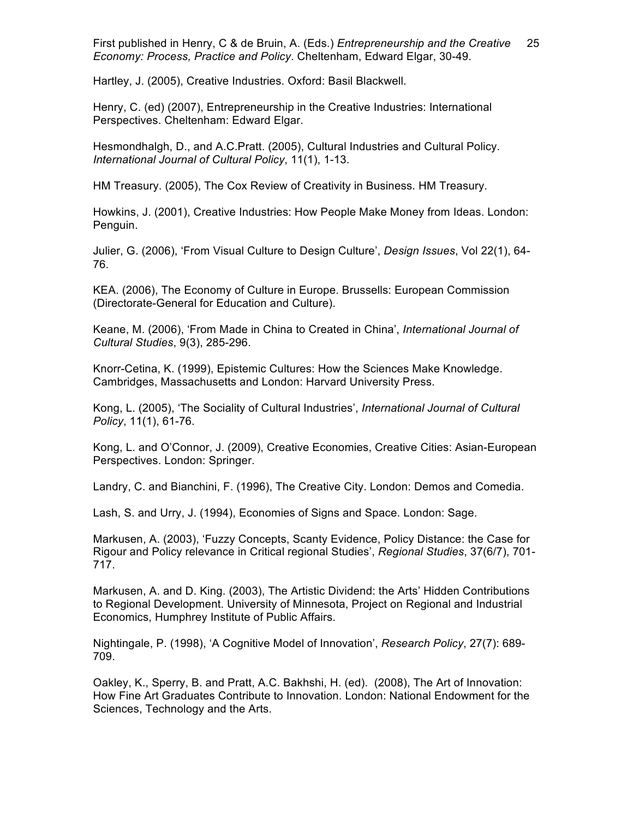Hartley, J. (2005), Creative Industries. Oxford: Basil Blackwell.

Henry, C. (ed) (2007), Entrepreneurship in the Creative Industries: International Perspectives. Cheltenham: Edward Elgar.

Hesmondhalgh, D., and A.C.Pratt. (2005), Cultural Industries and Cultural Policy. *International Journal of Cultural Policy*, 11(1), 1-13.

HM Treasury. (2005), The Cox Review of Creativity in Business. HM Treasury.

Howkins, J. (2001), Creative Industries: How People Make Money from Ideas. London: Penguin.

Julier, G. (2006), 'From Visual Culture to Design Culture', *Design Issues*, Vol 22(1), 64- 76.

KEA. (2006), The Economy of Culture in Europe. Brussells: European Commission (Directorate-General for Education and Culture).

Keane, M. (2006), 'From Made in China to Created in China', *International Journal of Cultural Studies*, 9(3), 285-296.

Knorr-Cetina, K. (1999), Epistemic Cultures: How the Sciences Make Knowledge. Cambridges, Massachusetts and London: Harvard University Press.

Kong, L. (2005), 'The Sociality of Cultural Industries', *International Journal of Cultural Policy*, 11(1), 61-76.

Kong, L. and O'Connor, J. (2009), Creative Economies, Creative Cities: Asian-European Perspectives. London: Springer.

Landry, C. and Bianchini, F. (1996), The Creative City. London: Demos and Comedia.

Lash, S. and Urry, J. (1994), Economies of Signs and Space. London: Sage.

Markusen, A. (2003), 'Fuzzy Concepts, Scanty Evidence, Policy Distance: the Case for Rigour and Policy relevance in Critical regional Studies', *Regional Studies*, 37(6/7), 701- 717.

Markusen, A. and D. King. (2003), The Artistic Dividend: the Arts' Hidden Contributions to Regional Development. University of Minnesota, Project on Regional and Industrial Economics, Humphrey Institute of Public Affairs.

Nightingale, P. (1998), 'A Cognitive Model of Innovation', *Research Policy*, 27(7): 689- 709.

Oakley, K., Sperry, B. and Pratt, A.C. Bakhshi, H. (ed). (2008), The Art of Innovation: How Fine Art Graduates Contribute to Innovation. London: National Endowment for the Sciences, Technology and the Arts.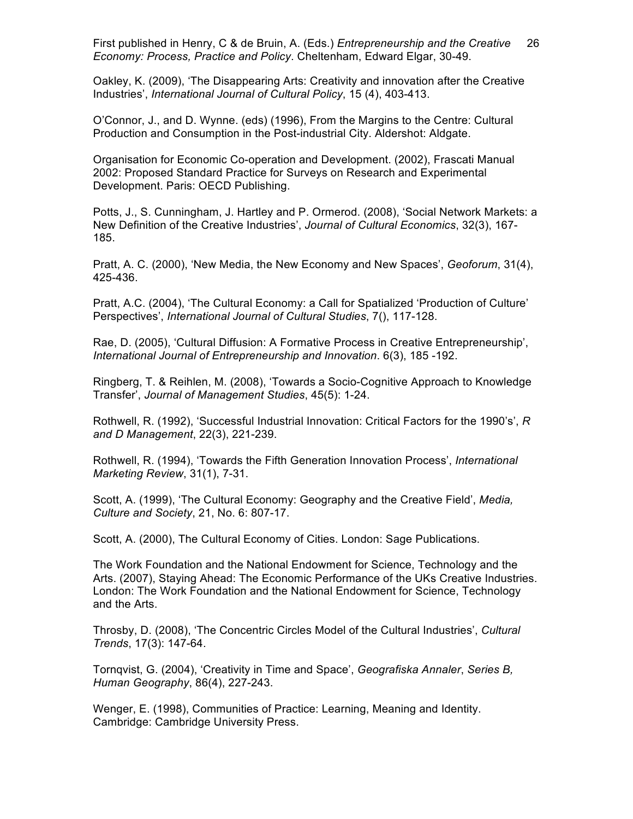Oakley, K. (2009), 'The Disappearing Arts: Creativity and innovation after the Creative Industries', *International Journal of Cultural Policy*, 15 (4), 403-413.

O'Connor, J., and D. Wynne. (eds) (1996), From the Margins to the Centre: Cultural Production and Consumption in the Post-industrial City. Aldershot: Aldgate.

Organisation for Economic Co-operation and Development. (2002), Frascati Manual 2002: Proposed Standard Practice for Surveys on Research and Experimental Development. Paris: OECD Publishing.

Potts, J., S. Cunningham, J. Hartley and P. Ormerod. (2008), 'Social Network Markets: a New Definition of the Creative Industries', *Journal of Cultural Economics*, 32(3), 167- 185.

Pratt, A. C. (2000), 'New Media, the New Economy and New Spaces', *Geoforum*, 31(4), 425-436.

Pratt, A.C. (2004), 'The Cultural Economy: a Call for Spatialized 'Production of Culture' Perspectives', *International Journal of Cultural Studies*, 7(), 117-128.

Rae, D. (2005), 'Cultural Diffusion: A Formative Process in Creative Entrepreneurship', *International Journal of Entrepreneurship and Innovation*. 6(3), 185 -192.

Ringberg, T. & Reihlen, M. (2008), 'Towards a Socio-Cognitive Approach to Knowledge Transfer', *Journal of Management Studies*, 45(5): 1-24.

Rothwell, R. (1992), 'Successful Industrial Innovation: Critical Factors for the 1990's', *R and D Management*, 22(3), 221-239.

Rothwell, R. (1994), 'Towards the Fifth Generation Innovation Process', *International Marketing Review*, 31(1), 7-31.

Scott, A. (1999), 'The Cultural Economy: Geography and the Creative Field', *Media, Culture and Society*, 21, No. 6: 807-17.

Scott, A. (2000), The Cultural Economy of Cities. London: Sage Publications.

The Work Foundation and the National Endowment for Science, Technology and the Arts. (2007), Staying Ahead: The Economic Performance of the UKs Creative Industries. London: The Work Foundation and the National Endowment for Science, Technology and the Arts.

Throsby, D. (2008), 'The Concentric Circles Model of the Cultural Industries', *Cultural Trends*, 17(3): 147-64.

Tornqvist, G. (2004), 'Creativity in Time and Space', *Geografiska Annaler*, *Series B, Human Geography*, 86(4), 227-243.

Wenger, E. (1998), Communities of Practice: Learning, Meaning and Identity. Cambridge: Cambridge University Press.